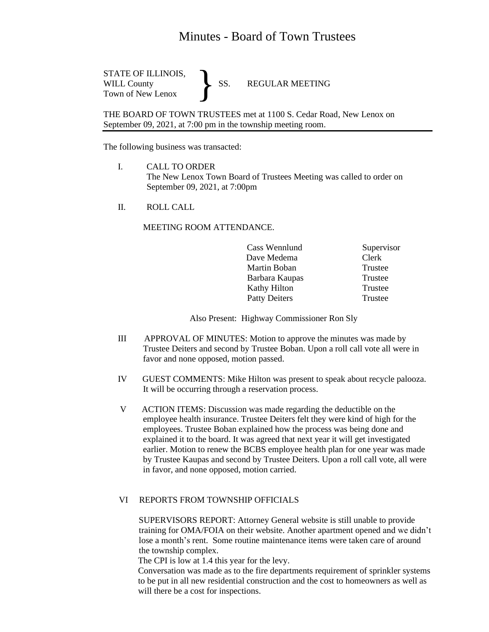## Minutes - Board of Town Trustees

STATE OF ILLINOIS,<br>WILL County SS. WILL County SS. REGULAR MEETING Town of New Lenox }

THE BOARD OF TOWN TRUSTEES met at 1100 S. Cedar Road, New Lenox on September 09, 2021, at 7:00 pm in the township meeting room.

The following business was transacted:

- I. CALL TO ORDER The New Lenox Town Board of Trustees Meeting was called to order on September 09, 2021, at 7:00pm
- II. ROLL CALL

## MEETING ROOM ATTENDANCE.

|  | Cass Wennlund        | Supervisor |
|--|----------------------|------------|
|  | Dave Medema          | Clerk      |
|  | Martin Boban         | Trustee    |
|  | Barbara Kaupas       | Trustee    |
|  | Kathy Hilton         | Trustee    |
|  | <b>Patty Deiters</b> | Trustee    |

Also Present: Highway Commissioner Ron Sly

- III APPROVAL OF MINUTES: Motion to approve the minutes was made by Trustee Deiters and second by Trustee Boban. Upon a roll call vote all were in favor and none opposed, motion passed.
- IV GUEST COMMENTS: Mike Hilton was present to speak about recycle palooza. It will be occurring through a reservation process.
- V ACTION ITEMS: Discussion was made regarding the deductible on the employee health insurance. Trustee Deiters felt they were kind of high for the employees. Trustee Boban explained how the process was being done and explained it to the board. It was agreed that next year it will get investigated earlier. Motion to renew the BCBS employee health plan for one year was made by Trustee Kaupas and second by Trustee Deiters. Upon a roll call vote, all were in favor, and none opposed, motion carried.

## VI REPORTS FROM TOWNSHIP OFFICIALS

 SUPERVISORS REPORT: Attorney General website is still unable to provide training for OMA/FOIA on their website. Another apartment opened and we didn't lose a month's rent. Some routine maintenance items were taken care of around the township complex.

The CPI is low at 1.4 this year for the levy.

Conversation was made as to the fire departments requirement of sprinkler systems to be put in all new residential construction and the cost to homeowners as well as will there be a cost for inspections.